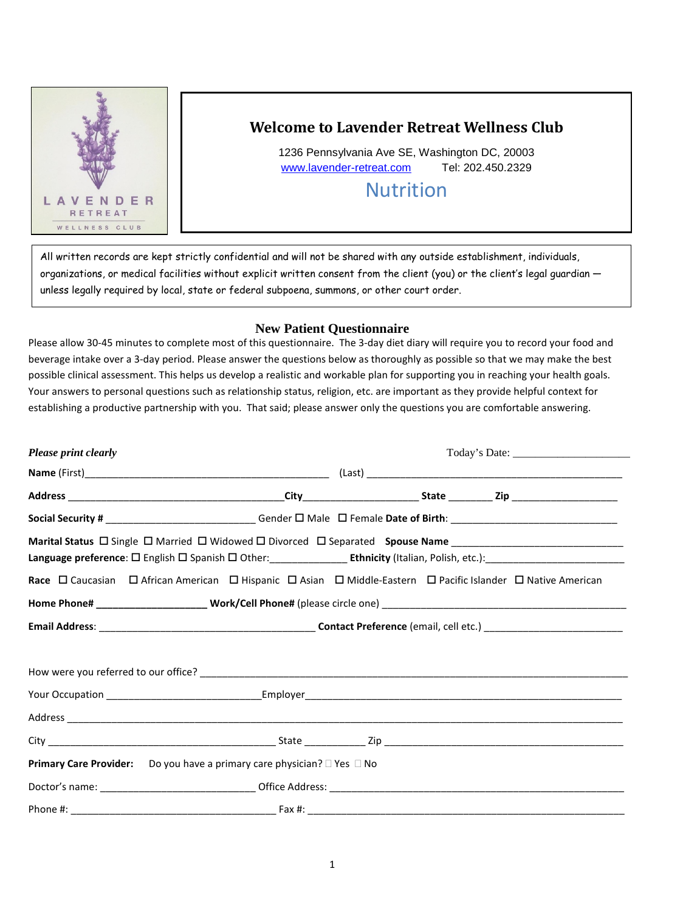

## **Welcome to Lavender Retreat Wellness Club**

1236 Pennsylvania Ave SE, Washington DC, 20003 [www.lavender-retreat.com](http://www.lavender-retreat.com/) Tel: 202.450.2329

# Nutrition

 All written records are kept strictly confidential and will not be shared with any outside establishment, individuals, organizations, or medical facilities without explicit written consent from the client (you) or the client's legal guardian unless legally required by local, state or federal subpoena, summons, or other court order.

## **New Patient Questionnaire**

Please allow 30-45 minutes to complete most of this questionnaire. The 3-day diet diary will require you to record your food and beverage intake over a 3-day period. Please answer the questions below as thoroughly as possible so that we may make the best possible clinical assessment. This helps us develop a realistic and workable plan for supporting you in reaching your health goals. Your answers to personal questions such as relationship status, religion, etc. are important as they provide helpful context for establishing a productive partnership with you. That said; please answer only the questions you are comfortable answering.

| <b>Please print clearly</b> |                                                                                                                                                                                                                                                           |  |  |
|-----------------------------|-----------------------------------------------------------------------------------------------------------------------------------------------------------------------------------------------------------------------------------------------------------|--|--|
|                             |                                                                                                                                                                                                                                                           |  |  |
|                             |                                                                                                                                                                                                                                                           |  |  |
|                             |                                                                                                                                                                                                                                                           |  |  |
|                             | Marital Status D Single D Married D Widowed D Divorced D Separated Spouse Name _______________________________<br>Language preference: O English O Spanish O Other: __________________ Ethnicity (Italian, Polish, etc.): _______________________________ |  |  |
|                             | Race O Caucasian O African American O Hispanic O Asian O Middle-Eastern O Pacific Islander O Native American                                                                                                                                              |  |  |
|                             |                                                                                                                                                                                                                                                           |  |  |
|                             |                                                                                                                                                                                                                                                           |  |  |
|                             |                                                                                                                                                                                                                                                           |  |  |
|                             |                                                                                                                                                                                                                                                           |  |  |
|                             |                                                                                                                                                                                                                                                           |  |  |
|                             |                                                                                                                                                                                                                                                           |  |  |
|                             | <b>Primary Care Provider:</b> Do you have a primary care physician? $\Box$ Yes $\Box$ No                                                                                                                                                                  |  |  |
|                             |                                                                                                                                                                                                                                                           |  |  |
|                             |                                                                                                                                                                                                                                                           |  |  |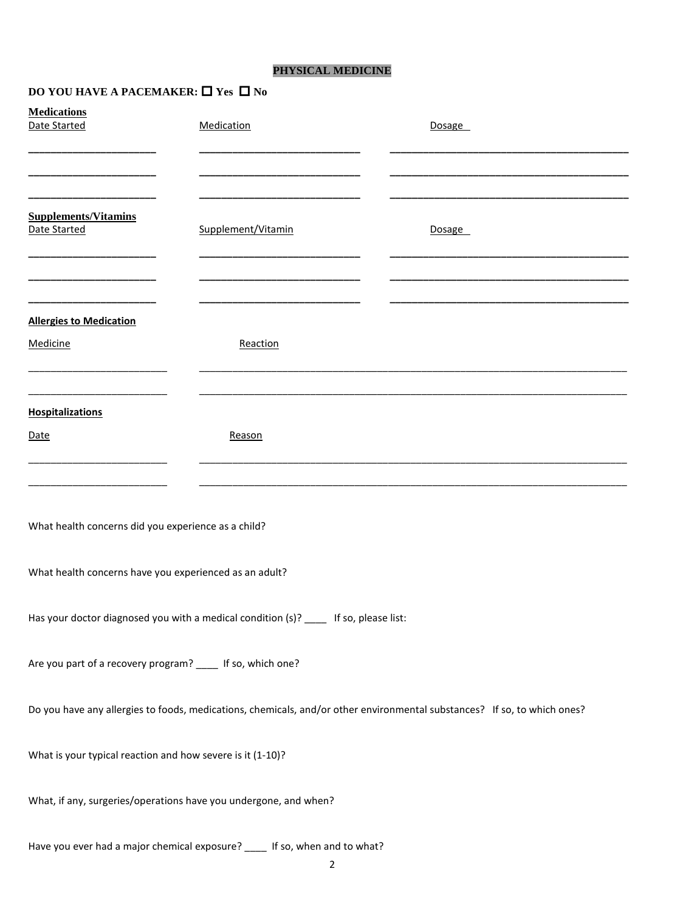## **PHYSICAL MEDICINE**

## **DO YOU HAVE A PACEMAKER:**  $\Box$  **Yes**  $\Box$  **No**

| <b>Medications</b><br>Date Started                         | Medication                                                                           | Dosage                                                                                                                   |
|------------------------------------------------------------|--------------------------------------------------------------------------------------|--------------------------------------------------------------------------------------------------------------------------|
|                                                            |                                                                                      |                                                                                                                          |
|                                                            |                                                                                      |                                                                                                                          |
| <b>Supplements/Vitamins</b><br>Date Started                | Supplement/Vitamin                                                                   | <b>Dosage</b>                                                                                                            |
|                                                            |                                                                                      |                                                                                                                          |
| <b>Allergies to Medication</b>                             |                                                                                      |                                                                                                                          |
| Medicine                                                   | Reaction                                                                             |                                                                                                                          |
|                                                            |                                                                                      |                                                                                                                          |
| <b>Hospitalizations</b>                                    |                                                                                      |                                                                                                                          |
| Date                                                       | Reason                                                                               |                                                                                                                          |
|                                                            |                                                                                      |                                                                                                                          |
| What health concerns did you experience as a child?        |                                                                                      |                                                                                                                          |
| What health concerns have you experienced as an adult?     |                                                                                      |                                                                                                                          |
|                                                            | Has your doctor diagnosed you with a medical condition (s)? ____ If so, please list: |                                                                                                                          |
| Are you part of a recovery program? ____ If so, which one? |                                                                                      |                                                                                                                          |
|                                                            |                                                                                      | Do you have any allergies to foods, medications, chemicals, and/or other environmental substances? If so, to which ones? |
| What is your typical reaction and how severe is it (1-10)? |                                                                                      |                                                                                                                          |
|                                                            | What, if any, surgeries/operations have you undergone, and when?                     |                                                                                                                          |
|                                                            | Have you ever had a major chemical exposure? ____ If so, when and to what?           |                                                                                                                          |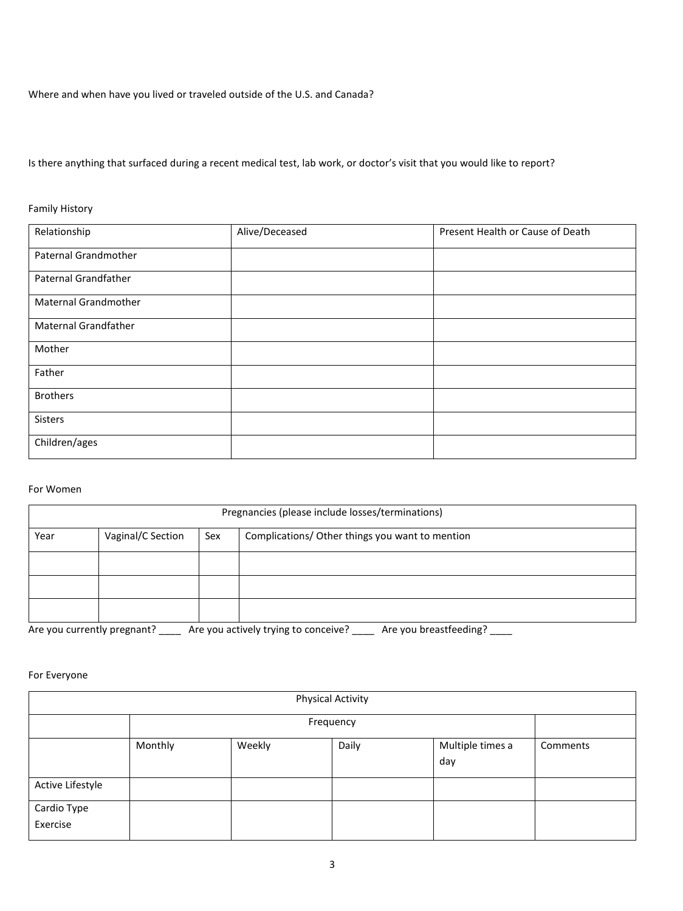Where and when have you lived or traveled outside of the U.S. and Canada?

Is there anything that surfaced during a recent medical test, lab work, or doctor's visit that you would like to report?

Family History

| Relationship                | Alive/Deceased | Present Health or Cause of Death |
|-----------------------------|----------------|----------------------------------|
| Paternal Grandmother        |                |                                  |
| Paternal Grandfather        |                |                                  |
| Maternal Grandmother        |                |                                  |
| <b>Maternal Grandfather</b> |                |                                  |
| Mother                      |                |                                  |
| Father                      |                |                                  |
| <b>Brothers</b>             |                |                                  |
| Sisters                     |                |                                  |
| Children/ages               |                |                                  |

#### For Women

|                             |                   |     | Pregnancies (please include losses/terminations)               |
|-----------------------------|-------------------|-----|----------------------------------------------------------------|
| Year                        | Vaginal/C Section | Sex | Complications/ Other things you want to mention                |
|                             |                   |     |                                                                |
|                             |                   |     |                                                                |
|                             |                   |     |                                                                |
| Are you currently pregnant? |                   |     | Are you breastfeeding?<br>Are you actively trying to conceive? |

#### For Everyone

|                         |         |        | <b>Physical Activity</b> |                         |          |
|-------------------------|---------|--------|--------------------------|-------------------------|----------|
|                         |         |        | Frequency                |                         |          |
|                         | Monthly | Weekly | Daily                    | Multiple times a<br>day | Comments |
| Active Lifestyle        |         |        |                          |                         |          |
| Cardio Type<br>Exercise |         |        |                          |                         |          |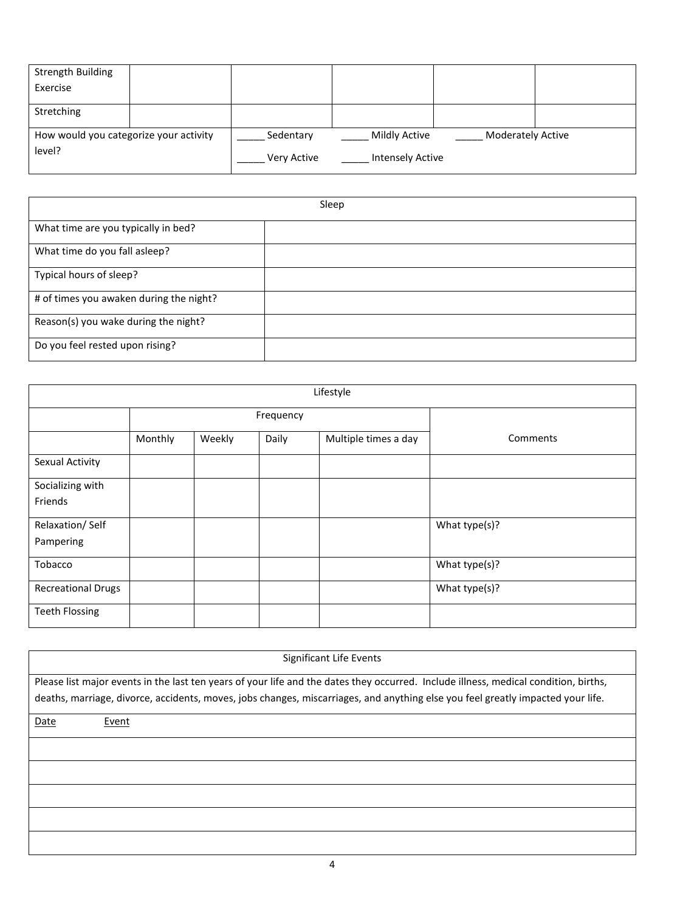| <b>Strength Building</b>               |  |                    |                         |                          |  |
|----------------------------------------|--|--------------------|-------------------------|--------------------------|--|
| Exercise                               |  |                    |                         |                          |  |
|                                        |  |                    |                         |                          |  |
| Stretching                             |  |                    |                         |                          |  |
|                                        |  |                    |                         |                          |  |
| How would you categorize your activity |  | Sedentary          | <b>Mildly Active</b>    | <b>Moderately Active</b> |  |
| level?                                 |  | <b>Very Active</b> | <b>Intensely Active</b> |                          |  |

|                                         | Sleep |
|-----------------------------------------|-------|
| What time are you typically in bed?     |       |
| What time do you fall asleep?           |       |
| Typical hours of sleep?                 |       |
| # of times you awaken during the night? |       |
| Reason(s) you wake during the night?    |       |
| Do you feel rested upon rising?         |       |

| Lifestyle                 |         |        |           |                      |               |
|---------------------------|---------|--------|-----------|----------------------|---------------|
|                           |         |        | Frequency |                      |               |
|                           | Monthly | Weekly | Daily     | Multiple times a day | Comments      |
| Sexual Activity           |         |        |           |                      |               |
| Socializing with          |         |        |           |                      |               |
| Friends                   |         |        |           |                      |               |
| Relaxation/Self           |         |        |           |                      | What type(s)? |
| Pampering                 |         |        |           |                      |               |
| Tobacco                   |         |        |           |                      | What type(s)? |
| <b>Recreational Drugs</b> |         |        |           |                      | What type(s)? |
| <b>Teeth Flossing</b>     |         |        |           |                      |               |

| Significant Life Events                                                                                                                                                                                                                                                 |
|-------------------------------------------------------------------------------------------------------------------------------------------------------------------------------------------------------------------------------------------------------------------------|
| Please list major events in the last ten years of your life and the dates they occurred. Include illness, medical condition, births,<br>deaths, marriage, divorce, accidents, moves, jobs changes, miscarriages, and anything else you feel greatly impacted your life. |
| Date<br>Event                                                                                                                                                                                                                                                           |
|                                                                                                                                                                                                                                                                         |
|                                                                                                                                                                                                                                                                         |
|                                                                                                                                                                                                                                                                         |
|                                                                                                                                                                                                                                                                         |
|                                                                                                                                                                                                                                                                         |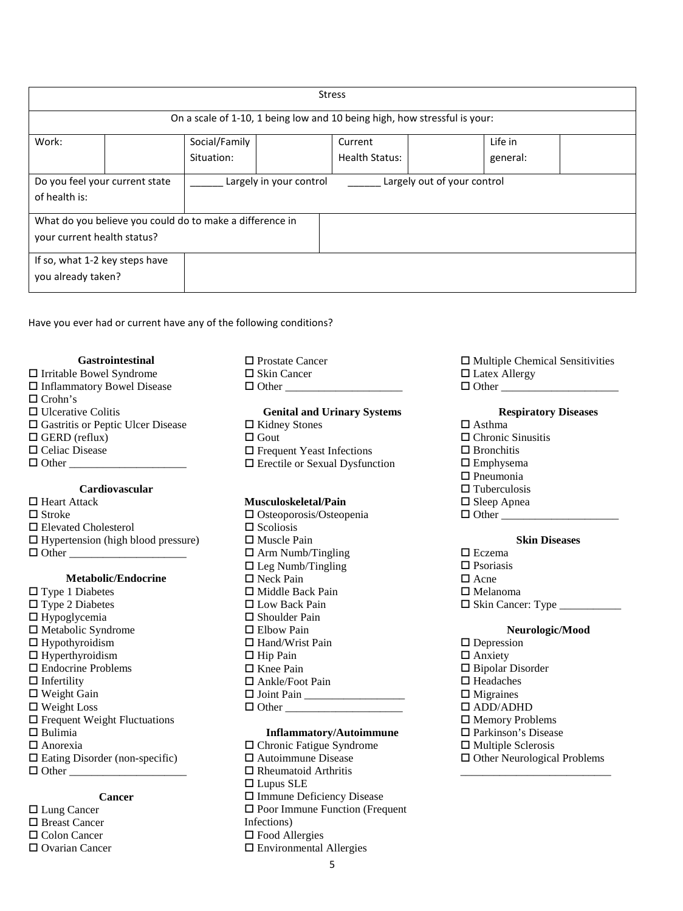|                                                          | <b>Stress</b> |                                                        |  |                                                                           |  |          |  |
|----------------------------------------------------------|---------------|--------------------------------------------------------|--|---------------------------------------------------------------------------|--|----------|--|
|                                                          |               |                                                        |  |                                                                           |  |          |  |
|                                                          |               |                                                        |  | On a scale of 1-10, 1 being low and 10 being high, how stressful is your: |  |          |  |
| Work:                                                    |               | Social/Family                                          |  | Current                                                                   |  | Life in  |  |
|                                                          |               | Situation:                                             |  | Health Status:                                                            |  | general: |  |
| Do you feel your current state                           |               | Largely out of your control<br>Largely in your control |  |                                                                           |  |          |  |
| of health is:                                            |               |                                                        |  |                                                                           |  |          |  |
| What do you believe you could do to make a difference in |               |                                                        |  |                                                                           |  |          |  |
| your current health status?                              |               |                                                        |  |                                                                           |  |          |  |
| If so, what 1-2 key steps have                           |               |                                                        |  |                                                                           |  |          |  |
| you already taken?                                       |               |                                                        |  |                                                                           |  |          |  |
|                                                          |               |                                                        |  |                                                                           |  |          |  |

Have you ever had or current have any of the following conditions?

#### **Gastrointestinal**

| $\Box$ Irritable Bowel Syndrome          | $\Box$ Skin Cancer                    | $\Box$ Latex Allergy        |
|------------------------------------------|---------------------------------------|-----------------------------|
| □ Inflammatory Bowel Disease             | $\Box$ Other                          | $\Box$ Other                |
| $\Box$ Crohn's                           |                                       |                             |
| $\Box$ Ulcerative Colitis                | <b>Genital and Urinary Systems</b>    | <b>Respiratory Diseases</b> |
| $\Box$ Gastritis or Peptic Ulcer Disease | $\Box$ Kidney Stones                  | $\Box$ Asthma               |
| $\Box$ GERD (reflux)                     | $\Box$ Gout                           | $\Box$ Chronic Sinusitis    |
| $\Box$ Celiac Disease                    | $\Box$ Frequent Yeast Infections      | $\Box$ Bronchitis           |
| $\Box$ Other                             | $\Box$ Erectile or Sexual Dysfunction | $\square$ Emphysema         |
|                                          |                                       | $\Box$ Pneumonia            |

#### **Cardiovascular**

 $\Box$  Heart Attack  $\Box$  Stroke Elevated Cholesterol  $\Box$  Hypertension (high blood pressure)  $\Box$  Other

#### **Metabolic/Endocrine**

- $\square$  Type 1 Diabetes  $\Box$  Type 2 Diabetes  $\Box$  Hypoglycemia  $\Box$  Metabolic Syndrome  $\Box$  Hypothyroidism  $\Box$  Hyperthyroidism  $\square$  Endocrine Problems  $\Box$  Infertility □ Weight Gain Weight Loss Frequent Weight Fluctuations  $\Box$  Bulimia Anorexia  $\Box$  Eating Disorder (non-specific)
- $\Box$  Other

#### **Cancer**

□ Lung Cancer □ Breast Cancer □ Colon Cancer □ Ovarian Cancer □ Prostate Cancer

#### **Musculoskeletal/Pain**

 $\square$  Osteoporosis/Osteopenia  $\square$  Scoliosis □ Muscle Pain  $\Box$  Arm Numb/Tingling  $\Box$  Leg Numb/Tingling □ Neck Pain  $\Box$  Middle Back Pain □ Low Back Pain  $\square$  Shoulder Pain □ Elbow Pain □ Hand/Wrist Pain  $\Box$  Hip Pain  $\square$  Knee Pain □ Ankle/Foot Pain  $\Box$  Joint Pain  $\Box$  Other  $\Box$ 

#### **Inflammatory/Autoimmune**

5 Chronic Fatigue Syndrome Autoimmune Disease  $\Box$  Rheumatoid Arthritis □ Lupus SLE □ Immune Deficiency Disease □ Poor Immune Function (Frequent Infections) □ Food Allergies Environmental Allergies

| $\Box$ Multiple Chemical Sensitivities |
|----------------------------------------|
| $\Box$ Latex Allergy                   |
| $\Box$ $\triangle$ 4.                  |

#### **Respiratory Diseases**

- 
- usitis
- 
- 
- $\square$  Tuberculosis
- $\square$  Sleep Apnea Other \_\_\_\_\_\_\_\_\_\_\_\_\_\_\_\_\_\_\_\_\_

#### **Skin Diseases**

- □ Eczema
- $\square$  Psoriasis
- $\Box$  Acne
- $\square$  Melanoma
- Skin Cancer: Type \_\_\_\_\_\_\_\_\_\_\_

#### **Neurologic/Mood**

 $\square$  Depression □ Anxiety  $\Box$  Bipolar Disorder □ Headaches  $\Box$  Migraines ADD/ADHD □ Memory Problems □ Parkinson's Disease  $\square$  Multiple Sclerosis □ Other Neurological Problems

\_\_\_\_\_\_\_\_\_\_\_\_\_\_\_\_\_\_\_\_\_\_\_\_\_\_\_